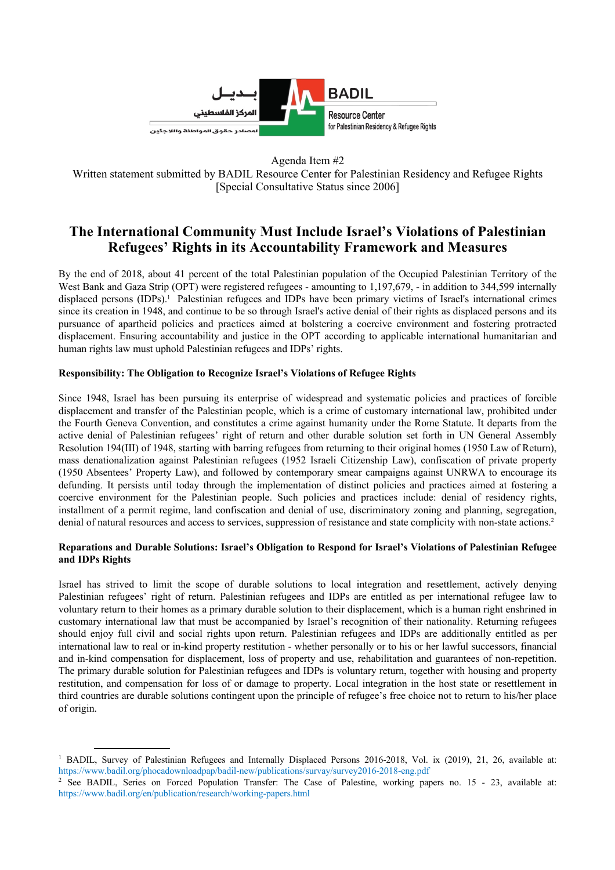

Agenda Item #2

Written statement submitted by BADIL Resource Center for Palestinian Residency and Refugee Rights [Special Consultative Status since 2006]

# **The International Community Must Include Israel's Violations of Palestinian Refugees' Rights in its Accountability Framework and Measures**

By the end of 2018, about 41 percent of the total Palestinian population of the Occupied Palestinian Territory of the West Bank and Gaza Strip (OPT) were registered refugees - amounting to 1,197,679, - in addition to 344,599 internally displaced persons (IDPs).<sup>1</sup> Palestinian refugees and IDPs have been primary victims of Israel's international crimes since its creation in 1948, and continue to be so through Israel's active denial of their rights as displaced persons and its pursuance of apartheid policies and practices aimed at bolstering a coercive environment and fostering protracted displacement. Ensuring accountability and justice in the OPT according to applicable international humanitarian and human rights law must uphold Palestinian refugees and IDPs' rights.

## **Responsibility: The Obligation to Recognize Israel's Violations of Refugee Rights**

Since 1948, Israel has been pursuing its enterprise of widespread and systematic policies and practices of forcible displacement and transfer of the Palestinian people, which is a crime of customary international law, prohibited under the Fourth Geneva Convention, and constitutes a crime against humanity under the Rome Statute. It departs from the active denial of Palestinian refugees' right of return and other durable solution set forth in UN General Assembly Resolution 194(III) of 1948, starting with barring refugees from returning to their original homes (1950 Law of Return), mass denationalization against Palestinian refugees (1952 Israeli Citizenship Law), confiscation of private property (1950 Absentees' Property Law), and followed by contemporary smear campaigns against UNRWA to encourage its defunding. It persists until today through the implementation of distinct policies and practices aimed at fostering a coercive environment for the Palestinian people. Such policies and practices include: denial of residency rights, installment of a permit regime, land confiscation and denial of use, discriminatory zoning and planning, segregation, denial of natural resources and access to services, suppression of resistance and state complicity with non-state actions.<sup>2</sup>

## **Reparations and Durable Solutions: Israel's Obligation to Respond for Israel's Violations of Palestinian Refugee and IDPs Rights**

Israel has strived to limit the scope of durable solutions to local integration and resettlement, actively denying Palestinian refugees' right of return. Palestinian refugees and IDPs are entitled as per international refugee law to voluntary return to their homes as a primary durable solution to their displacement, which is a human right enshrined in customary international law that must be accompanied by Israel's recognition of their nationality. Returning refugees should enjoy full civil and social rights upon return. Palestinian refugees and IDPs are additionally entitled as per international law to real or in-kind property restitution - whether personally or to his or her lawful successors, financial and in-kind compensation for displacement, loss of property and use, rehabilitation and guarantees of non-repetition. The primary durable solution for Palestinian refugees and IDPs is voluntary return, together with housing and property restitution, and compensation for loss of or damage to property. Local integration in the host state or resettlement in third countries are durable solutions contingent upon the principle of refugee's free choice not to return to his/her place of origin.

<sup>&</sup>lt;sup>1</sup> BADIL, Survey of Palestinian Refugees and Internally Displaced Persons 2016-2018, Vol. ix (2019), 21, 26, available at: https://www.badil.org/phocadownloadpap/badil-new/publications/survay/survey2016-2018-eng.pdf

<sup>&</sup>lt;sup>2</sup> See BADIL, Series on Forced Population Transfer: The Case of Palestine, working papers no. 15 - 23, available at: https://www.badil.org/en/publication/research/working-papers.html